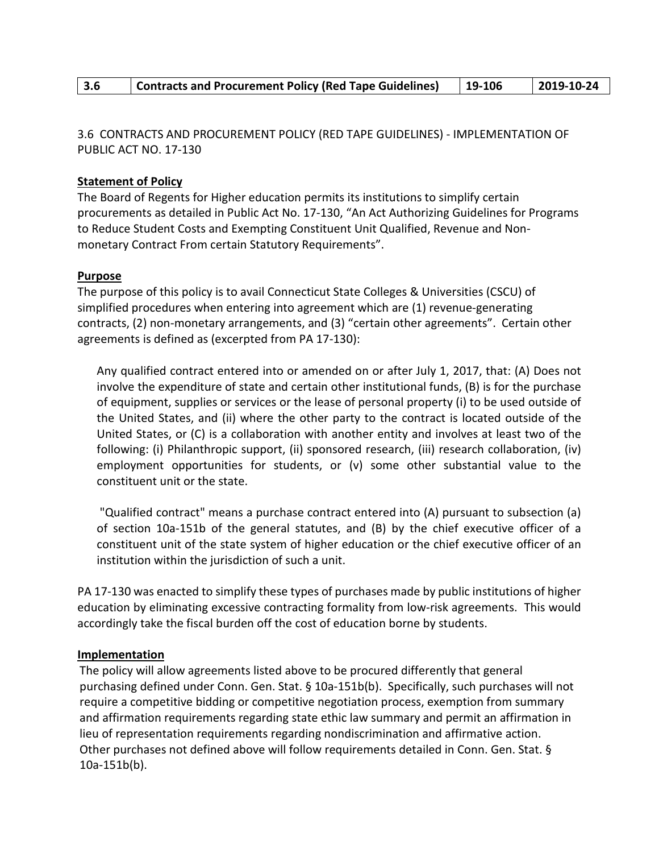| Contracts and Procurement Policy (Red Tape Guidelines)<br>3.6 | $19-106$ | $ 2019-10-24$ |
|---------------------------------------------------------------|----------|---------------|
|---------------------------------------------------------------|----------|---------------|

3.6 CONTRACTS AND PROCUREMENT POLICY (RED TAPE GUIDELINES) - IMPLEMENTATION OF PUBLIC ACT NO. 17-130

## **Statement of Policy**

The Board of Regents for Higher education permits its institutions to simplify certain procurements as detailed in Public Act No. 17-130, "An Act Authorizing Guidelines for Programs to Reduce Student Costs and Exempting Constituent Unit Qualified, Revenue and Nonmonetary Contract From certain Statutory Requirements".

## **Purpose**

The purpose of this policy is to avail Connecticut State Colleges & Universities (CSCU) of simplified procedures when entering into agreement which are (1) revenue-generating contracts, (2) non-monetary arrangements, and (3) "certain other agreements". Certain other agreements is defined as (excerpted from PA 17-130):

Any qualified contract entered into or amended on or after July 1, 2017, that: (A) Does not involve the expenditure of state and certain other institutional funds, (B) is for the purchase of equipment, supplies or services or the lease of personal property (i) to be used outside of the United States, and (ii) where the other party to the contract is located outside of the United States, or (C) is a collaboration with another entity and involves at least two of the following: (i) Philanthropic support, (ii) sponsored research, (iii) research collaboration, (iv) employment opportunities for students, or (v) some other substantial value to the constituent unit or the state.

"Qualified contract" means a purchase contract entered into (A) pursuant to subsection (a) of section 10a-151b of the general statutes, and (B) by the chief executive officer of a constituent unit of the state system of higher education or the chief executive officer of an institution within the jurisdiction of such a unit.

PA 17-130 was enacted to simplify these types of purchases made by public institutions of higher education by eliminating excessive contracting formality from low-risk agreements. This would accordingly take the fiscal burden off the cost of education borne by students.

## **Implementation**

The policy will allow agreements listed above to be procured differently that general purchasing defined under Conn. Gen. Stat. § 10a-151b(b). Specifically, such purchases will not require a competitive bidding or competitive negotiation process, exemption from summary and affirmation requirements regarding state ethic law summary and permit an affirmation in lieu of representation requirements regarding nondiscrimination and affirmative action. Other purchases not defined above will follow requirements detailed in Conn. Gen. Stat. § 10a-151b(b).